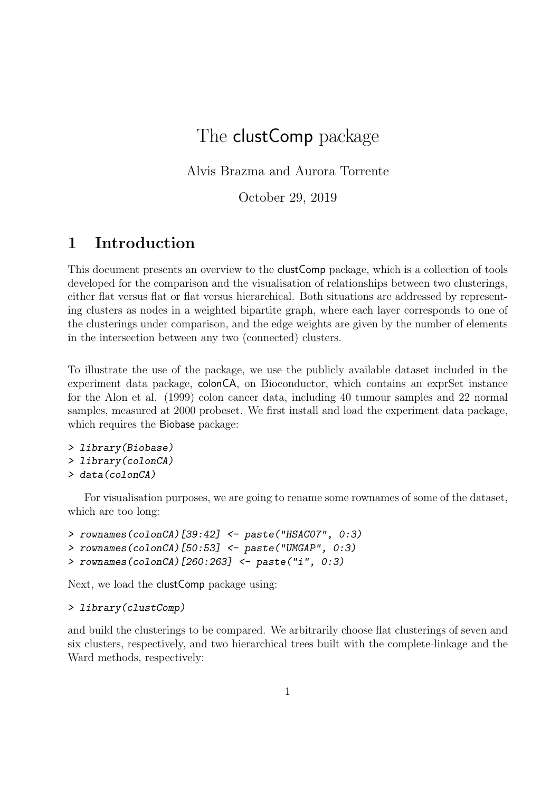# The **clustComp** package

Alvis Brazma and Aurora Torrente

October 29, 2019

### 1 Introduction

This document presents an overview to the clustComp package, which is a collection of tools developed for the comparison and the visualisation of relationships between two clusterings, either flat versus flat or flat versus hierarchical. Both situations are addressed by representing clusters as nodes in a weighted bipartite graph, where each layer corresponds to one of the clusterings under comparison, and the edge weights are given by the number of elements in the intersection between any two (connected) clusters.

To illustrate the use of the package, we use the publicly available dataset included in the experiment data package, colonCA, on Bioconductor, which contains an exprSet instance for the Alon et al. (1999) colon cancer data, including 40 tumour samples and 22 normal samples, measured at 2000 probeset. We first install and load the experiment data package, which requires the Biobase package:

```
> library(Biobase)
```
> library(colonCA)

```
> data(colonCA)
```
For visualisation purposes, we are going to rename some rownames of some of the dataset, which are too long:

```
> rownames(colonCA)[39:42] <- paste("HSAC07", 0:3)
> rownames(colonCA)[50:53] <- paste("UMGAP", 0:3)
> rownames(colonCA)[260:263] <- paste("i", 0:3)
```
Next, we load the clustComp package using:

#### > library(clustComp)

and build the clusterings to be compared. We arbitrarily choose flat clusterings of seven and six clusters, respectively, and two hierarchical trees built with the complete-linkage and the Ward methods, respectively: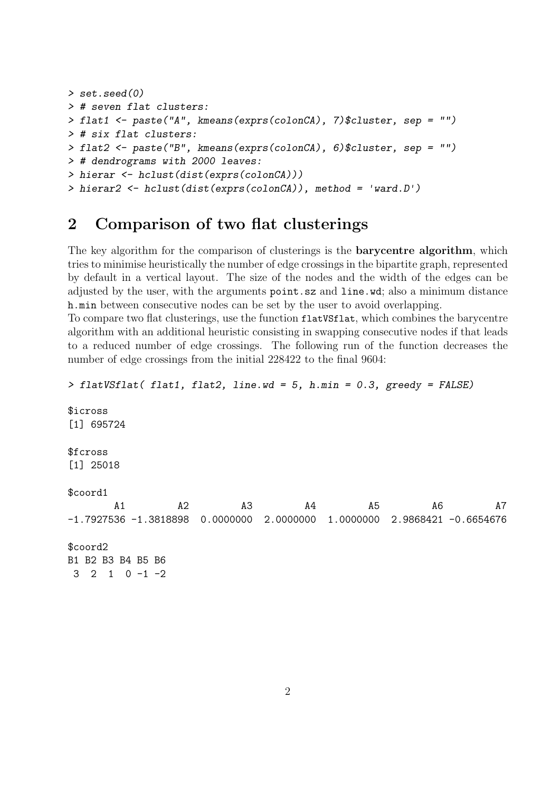```
> set.seed(0)
> # seven flat clusters:
> flat1 <- paste("A", kmeans(exprs(colonCA), 7)$cluster, sep = "")
> # six flat clusters:
> flat2 <- paste("B", kmeans(exprs(colonCA), 6)$cluster, sep = "")
> # dendrograms with 2000 leaves:
> hierar <- hclust(dist(exprs(colonCA)))
> hierar2 <- hclust(dist(exprs(colonCA)), method = 'ward.D')
```
### 2 Comparison of two flat clusterings

The key algorithm for the comparison of clusterings is the **barycentre algorithm**, which tries to minimise heuristically the number of edge crossings in the bipartite graph, represented by default in a vertical layout. The size of the nodes and the width of the edges can be adjusted by the user, with the arguments point.sz and line.wd; also a minimum distance h.min between consecutive nodes can be set by the user to avoid overlapping.

To compare two flat clusterings, use the function flatVSflat, which combines the barycentre algorithm with an additional heuristic consisting in swapping consecutive nodes if that leads to a reduced number of edge crossings. The following run of the function decreases the number of edge crossings from the initial 228422 to the final 9604:

```
> flatVSflat( flat1, flat2, line.wd = 5, h.min = 0.3, greedy = FALSE)
$icross
[1] 695724
$fcross
[1] 25018
$coord1
      A1 A2 A3 A4 A5 A6 A7
-1.7927536 -1.3818898 0.0000000 2.0000000 1.0000000 2.9868421 -0.6654676
$coord2
B1 B2 B3 B4 B5 B6
3 2 1 0 -1 -2
```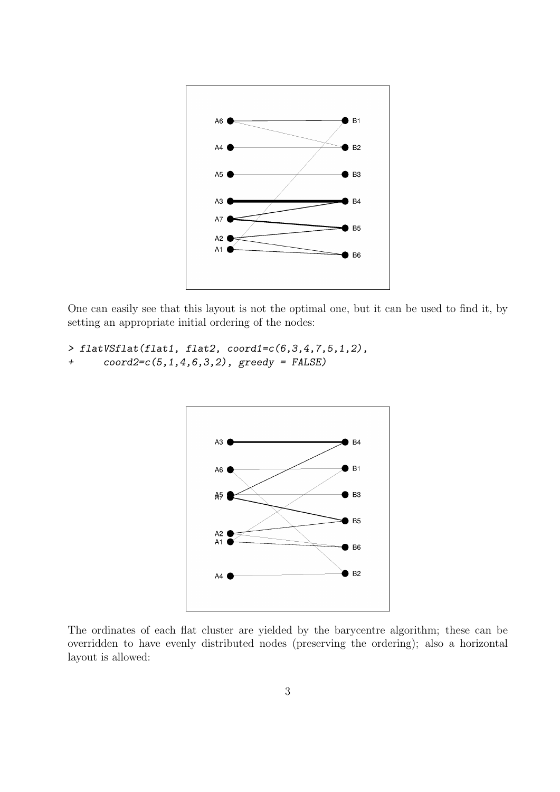

One can easily see that this layout is not the optimal one, but it can be used to find it, by setting an appropriate initial ordering of the nodes:

```
> flatVSflat(flat1, flat2, coord1=c(6,3,4,7,5,1,2),
+ coord2=c(5,1,4,6,3,2), greedy = FALSE)
```


The ordinates of each flat cluster are yielded by the barycentre algorithm; these can be overridden to have evenly distributed nodes (preserving the ordering); also a horizontal layout is allowed: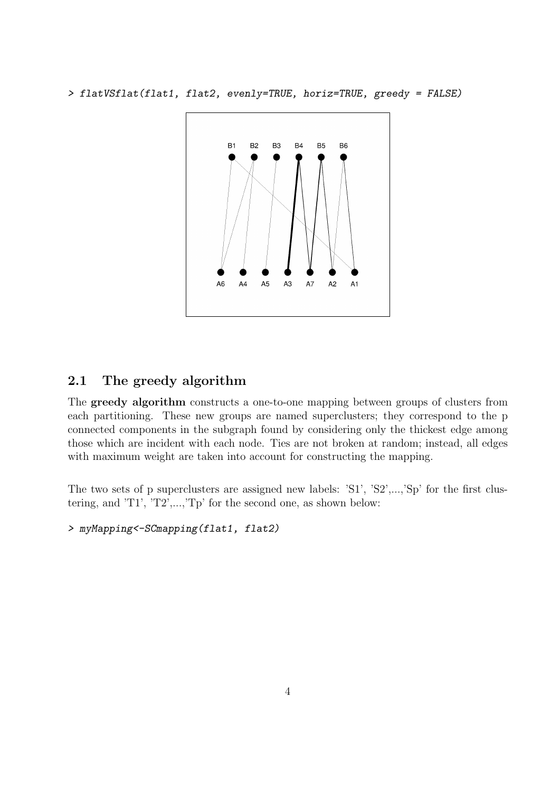> flatVSflat(flat1, flat2, evenly=TRUE, horiz=TRUE, greedy = FALSE)



#### 2.1 The greedy algorithm

The greedy algorithm constructs a one-to-one mapping between groups of clusters from each partitioning. These new groups are named superclusters; they correspond to the p connected components in the subgraph found by considering only the thickest edge among those which are incident with each node. Ties are not broken at random; instead, all edges with maximum weight are taken into account for constructing the mapping.

The two sets of p superclusters are assigned new labels: 'S1', 'S2',...,'Sp' for the first clustering, and 'T1', 'T2',...,'Tp' for the second one, as shown below:

> myMapping<-SCmapping(flat1, flat2)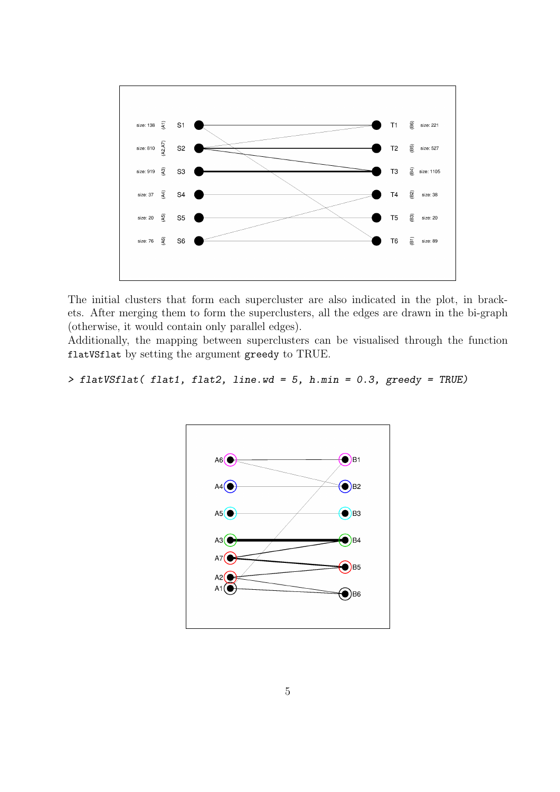

The initial clusters that form each supercluster are also indicated in the plot, in brackets. After merging them to form the superclusters, all the edges are drawn in the bi-graph (otherwise, it would contain only parallel edges).

Additionally, the mapping between superclusters can be visualised through the function flatVSflat by setting the argument greedy to TRUE.

> flatVSflat( flat1, flat2, line.wd = 5, h.min =  $0.3$ , greedy = TRUE)

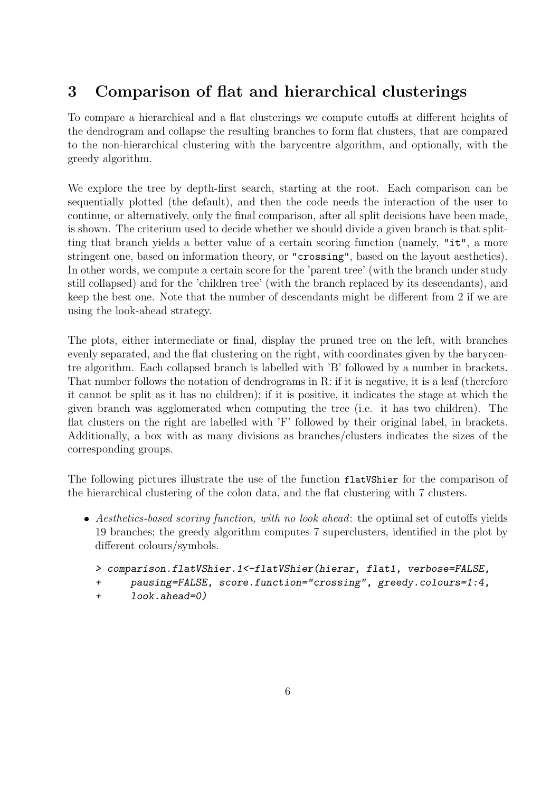## 3 Comparison of flat and hierarchical clusterings

To compare a hierarchical and a flat clusterings we compute cutoffs at different heights of the dendrogram and collapse the resulting branches to form flat clusters, that are compared to the non-hierarchical clustering with the barycentre algorithm, and optionally, with the greedy algorithm.

We explore the tree by depth-first search, starting at the root. Each comparison can be sequentially plotted (the default), and then the code needs the interaction of the user to continue, or alternatively, only the final comparison, after all split decisions have been made, is shown. The criterium used to decide whether we should divide a given branch is that splitting that branch yields a better value of a certain scoring function (namely, "it", a more stringent one, based on information theory, or "crossing", based on the layout aesthetics). In other words, we compute a certain score for the 'parent tree' (with the branch under study still collapsed) and for the 'children tree' (with the branch replaced by its descendants), and keep the best one. Note that the number of descendants might be different from 2 if we are using the look-ahead strategy.

The plots, either intermediate or final, display the pruned tree on the left, with branches evenly separated, and the flat clustering on the right, with coordinates given by the barycentre algorithm. Each collapsed branch is labelled with 'B' followed by a number in brackets. That number follows the notation of dendrograms in R: if it is negative, it is a leaf (therefore it cannot be split as it has no children); if it is positive, it indicates the stage at which the given branch was agglomerated when computing the tree (i.e. it has two children). The flat clusters on the right are labelled with 'F' followed by their original label, in brackets. Additionally, a box with as many divisions as branches/clusters indicates the sizes of the corresponding groups.

The following pictures illustrate the use of the function flatVShier for the comparison of the hierarchical clustering of the colon data, and the flat clustering with 7 clusters.

- Aesthetics-based scoring function, with no look ahead: the optimal set of cutoffs yields 19 branches; the greedy algorithm computes 7 superclusters, identified in the plot by different colours/symbols.
	- > comparison.flatVShier.1<-flatVShier(hierar, flat1, verbose=FALSE,
	- + pausing=FALSE, score.function="crossing", greedy.colours=1:4,
	- + look.ahead=0)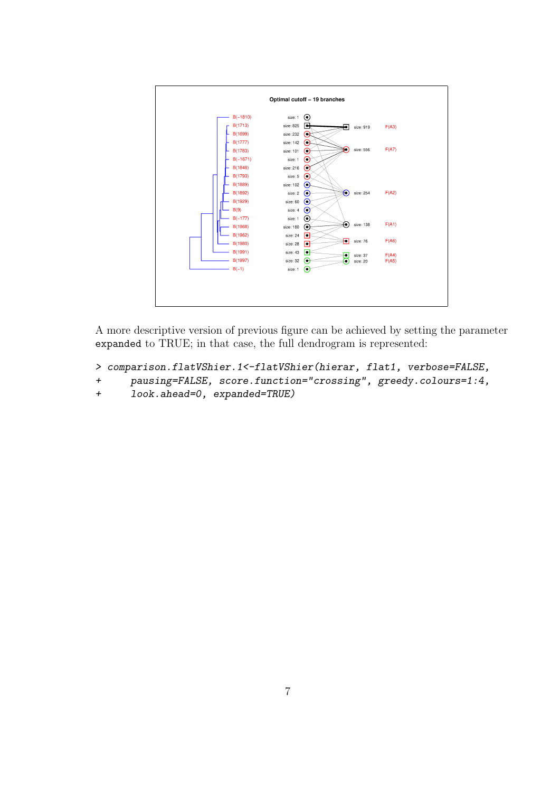

A more descriptive version of previous figure can be achieved by setting the parameter expanded to TRUE; in that case, the full dendrogram is represented:

```
> comparison.flatVShier.1<-flatVShier(hierar, flat1, verbose=FALSE,
```

```
+ pausing=FALSE, score.function="crossing", greedy.colours=1:4,
```
+ look.ahead=0, expanded=TRUE)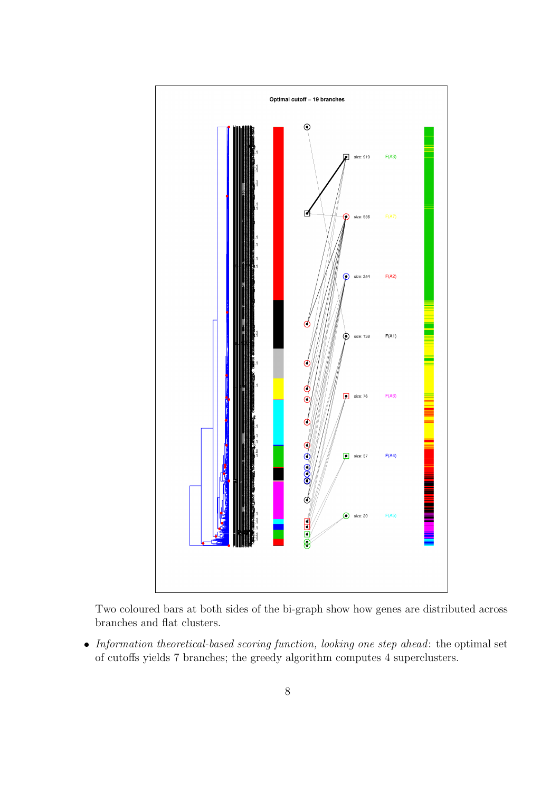

Two coloured bars at both sides of the bi-graph show how genes are distributed across branches and flat clusters.

• Information theoretical-based scoring function, looking one step ahead: the optimal set of cutoffs yields 7 branches; the greedy algorithm computes 4 superclusters.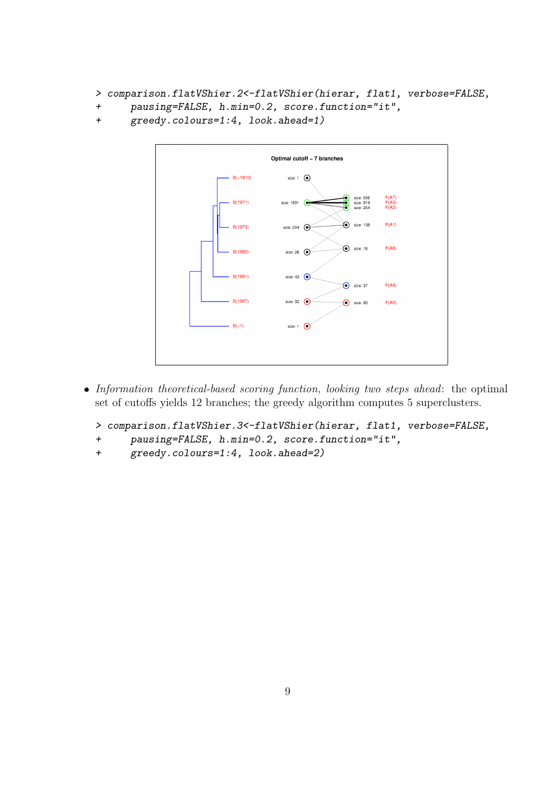```
> comparison.flatVShier.2<-flatVShier(hierar, flat1, verbose=FALSE,
```

```
+ pausing=FALSE, h.min=0.2, score.function="it",
```

```
+ greedy.colours=1:4, look.ahead=1)
```


• Information theoretical-based scoring function, looking two steps ahead: the optimal set of cutoffs yields 12 branches; the greedy algorithm computes 5 superclusters.

```
> comparison.flatVShier.3<-flatVShier(hierar, flat1, verbose=FALSE,
```
- + pausing=FALSE, h.min=0.2, score.function="it",
- + greedy.colours=1:4, look.ahead=2)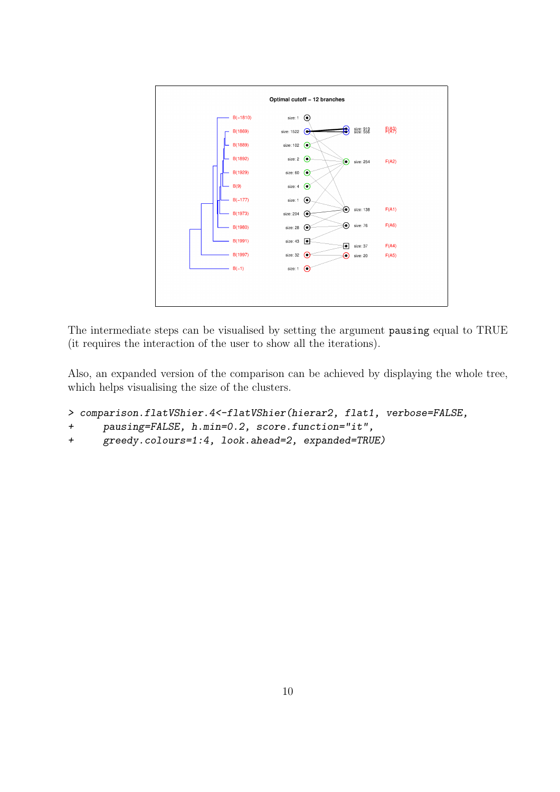

The intermediate steps can be visualised by setting the argument pausing equal to TRUE (it requires the interaction of the user to show all the iterations).

Also, an expanded version of the comparison can be achieved by displaying the whole tree, which helps visualising the size of the clusters.

```
> comparison.flatVShier.4<-flatVShier(hierar2, flat1, verbose=FALSE,
```

```
+ pausing=FALSE, h.min=0.2, score.function="it",
```

```
+ greedy.colours=1:4, look.ahead=2, expanded=TRUE)
```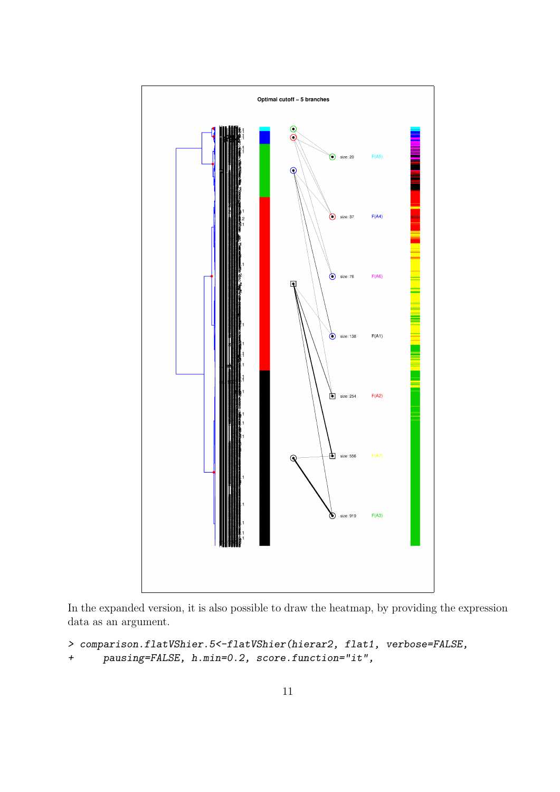

In the expanded version, it is also possible to draw the heatmap, by providing the expression data as an argument.

```
> comparison.flatVShier.5<-flatVShier(hierar2, flat1, verbose=FALSE,
```
+ pausing=FALSE, h.min=0.2, score.function="it",